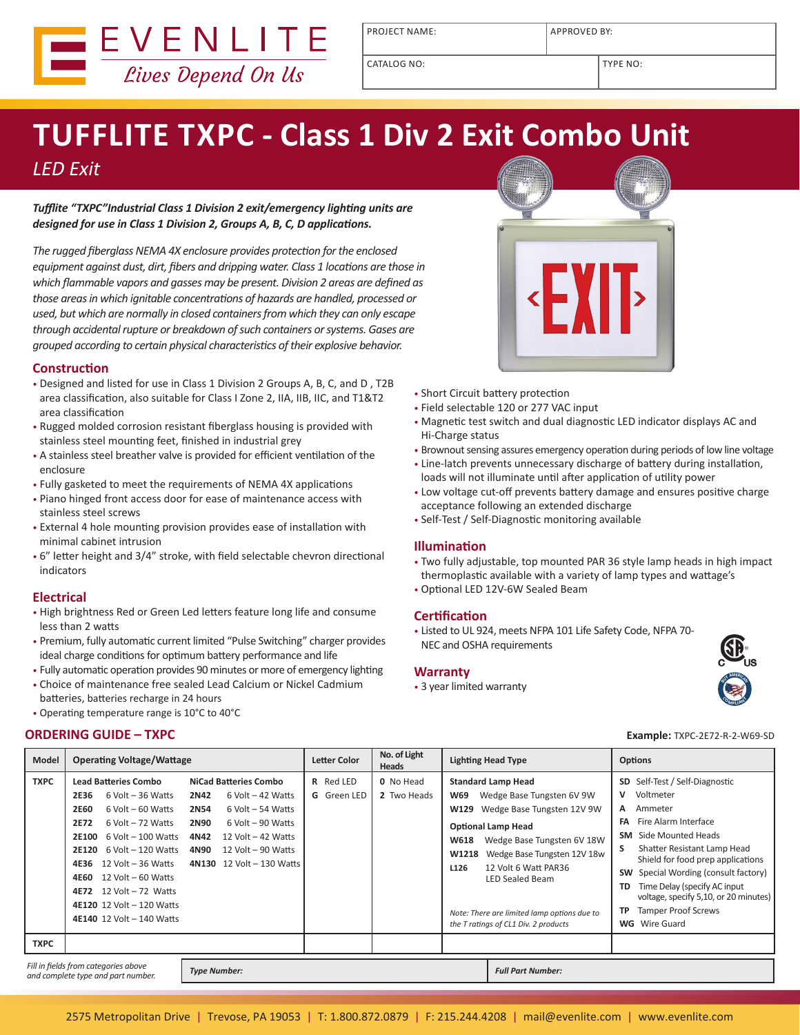

PROJECT NAME: APPROVED BY:

CATALOG NO: TYPE NO:

# **TUFFLITE TXPC - Class 1 Div 2 Exit Combo Unit**

*LED Exit*

*Tufflite "TXPC"Industrial Class 1 Division 2 exit/emergency lighting units are designed for use in Class 1 Division 2, Groups A, B, C, D applications.* 

*The rugged fiberglass NEMA 4X enclosure provides protection for the enclosed equipment against dust, dirt, fibers and dripping water. Class 1 locations are those in which flammable vapors and gasses may be present. Division 2 areas are defined as those areas in which ignitable concentrations of hazards are handled, processed or used, but which are normally in closed containers from which they can only escape through accidental rupture or breakdown of such containers or systems. Gases are grouped according to certain physical characteristics of their explosive behavior.*

#### **Construction**

- Designed and listed for use in Class 1 Division 2 Groups A, B, C, and D , T2B area classification, also suitable for Class I Zone 2, IIA, IIB, IIC, and T1&T2 area classification
- Rugged molded corrosion resistant fiberglass housing is provided with stainless steel mounting feet, finished in industrial grey
- A stainless steel breather valve is provided for efficient ventilation of the enclosure
- Fully gasketed to meet the requirements of NEMA 4X applications
- Piano hinged front access door for ease of maintenance access with stainless steel screws
- External 4 hole mounting provision provides ease of installation with minimal cabinet intrusion
- 6" letter height and 3/4" stroke, with field selectable chevron directional indicators

### **Electrical**

- High brightness Red or Green Led letters feature long life and consume less than 2 watts
- Premium, fully automatic current limited "Pulse Switching" charger provides ideal charge conditions for optimum battery performance and life
- Fully automatic operation provides 90 minutes or more of emergency lighting
- Choice of maintenance free sealed Lead Calcium or Nickel Cadmium batteries, batteries recharge in 24 hours
- Operating temperature range is 10°C to 40°C

### **ORDERING GUIDE – TXPC Example:** TXPC-2E72-R-2-W69-SD



- Short Circuit battery protection
- Field selectable 120 or 277 VAC input
- Magnetic test switch and dual diagnostic LED indicator displays AC and Hi-Charge status
- Brownout sensing assures emergency operation during periods of low line voltage
- Line-latch prevents unnecessary discharge of battery during installation, loads will not illuminate until after application of utility power
- Low voltage cut-off prevents battery damage and ensures positive charge acceptance following an extended discharge
- Self-Test / Self-Diagnostic monitoring available

#### **Illumination**

- Two fully adjustable, top mounted PAR 36 style lamp heads in high impact thermoplastic available with a variety of lamp types and wattage's
- Optional LED 12V-6W Sealed Beam

#### **Certification**

• Listed to UL 924, meets NFPA 101 Life Safety Code, NFPA 70- NEC and OSHA requirements

#### **Warranty**

• 3 year limited warranty



| Model       | <b>Operating Voltage/Wattage</b>                                                                                                                                                                                                                                                                                                                                       |                                                                                                                                                                                                                                         | <b>Letter Color</b>             | No. of Light<br>Heads           | <b>Lighting Head Type</b>                                                                                                                                                                                                                                                                                                                                    | <b>Options</b>                                                                                                                                                                                                                                                                                                                                                                                  |
|-------------|------------------------------------------------------------------------------------------------------------------------------------------------------------------------------------------------------------------------------------------------------------------------------------------------------------------------------------------------------------------------|-----------------------------------------------------------------------------------------------------------------------------------------------------------------------------------------------------------------------------------------|---------------------------------|---------------------------------|--------------------------------------------------------------------------------------------------------------------------------------------------------------------------------------------------------------------------------------------------------------------------------------------------------------------------------------------------------------|-------------------------------------------------------------------------------------------------------------------------------------------------------------------------------------------------------------------------------------------------------------------------------------------------------------------------------------------------------------------------------------------------|
| <b>TXPC</b> | <b>Lead Batteries Combo</b><br>$6$ Volt $-36$ Watts<br>2E36<br>$6$ Volt $-60$ Watts<br><b>2E60</b><br>2E72<br>$6$ Volt $-72$ Watts<br>$6$ Volt $-$ 100 Watts<br><b>2E100</b><br><b>2E120</b> 6 Volt - 120 Watts<br>12 Volt $-$ 36 Watts<br>4E36<br>12 Volt $-60$ Watts<br>4E60<br>$4E72$ 12 Volt $-72$ Watts<br>4E120 12 Volt - 120 Watts<br>4E140 12 Volt - 140 Watts | <b>NiCad Batteries Combo</b><br>$6$ Volt $-42$ Watts<br>2N42<br>$6$ Volt $-54$ Watts<br><b>2N54</b><br>$6$ Volt $-90$ Watts<br><b>2N90</b><br>12 Volt $-$ 42 Watts<br>4N42<br>12 Volt $-$ 90 Watts<br>4N90<br>4N130 12 Volt - 130 Watts | <b>R</b> Red LED<br>G Green LED | <b>0</b> No Head<br>2 Two Heads | <b>Standard Lamp Head</b><br>Wedge Base Tungsten 6V 9W<br>W69<br>W129 Wedge Base Tungsten 12V 9W<br><b>Optional Lamp Head</b><br>Wedge Base Tungsten 6V 18W<br>W618<br>Wedge Base Tungsten 12V 18w<br>W1218<br>12 Volt 6 Watt PAR36<br>L126<br><b>LED Sealed Beam</b><br>Note: There are limited lamp options due to<br>the T ratings of CL1 Div. 2 products | SD Self-Test / Self-Diagnostic<br>v<br>Voltmeter<br>A<br>Ammeter<br><b>FA</b> Fire Alarm Interface<br><b>SM</b> Side Mounted Heads<br>Shatter Resistant Lamp Head<br>S<br>Shield for food prep applications<br><b>SW</b> Special Wording (consult factory)<br>Time Delay (specify AC input<br>TD<br>voltage, specify 5,10, or 20 minutes)<br><b>Tamper Proof Screws</b><br><b>WG</b> Wire Guard |
| <b>TXPC</b> | Fill in fields from estagerias shoun                                                                                                                                                                                                                                                                                                                                   |                                                                                                                                                                                                                                         |                                 |                                 |                                                                                                                                                                                                                                                                                                                                                              |                                                                                                                                                                                                                                                                                                                                                                                                 |

*Fill in fields from categories above and complete type and part number. Type Number: Full Part Number:*